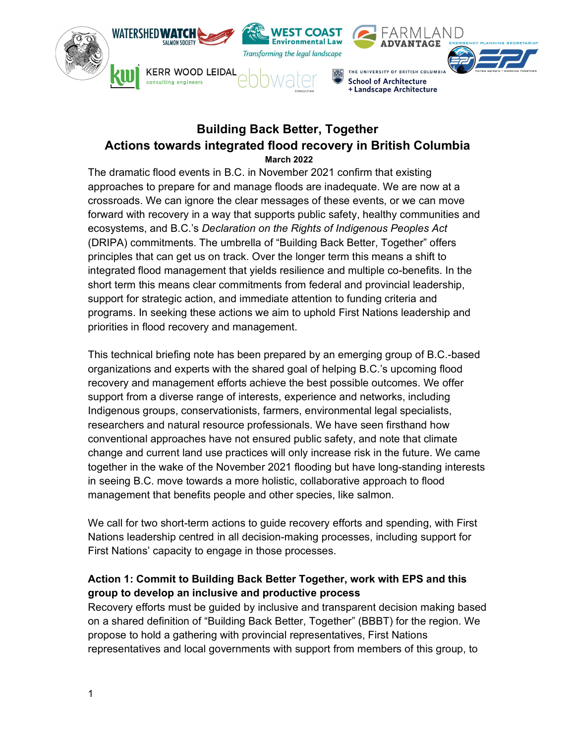

# Building Back Better, Together Actions towards integrated flood recovery in British Columbia March 2022

The dramatic flood events in B.C. in November 2021 confirm that existing approaches to prepare for and manage floods are inadequate. We are now at a crossroads. We can ignore the clear messages of these events, or we can move forward with recovery in a way that supports public safety, healthy communities and ecosystems, and B.C.'s Declaration on the Rights of Indigenous Peoples Act (DRIPA) commitments. The umbrella of "Building Back Better, Together" offers principles that can get us on track. Over the longer term this means a shift to integrated flood management that yields resilience and multiple co-benefits. In the short term this means clear commitments from federal and provincial leadership, support for strategic action, and immediate attention to funding criteria and programs. In seeking these actions we aim to uphold First Nations leadership and priorities in flood recovery and management.

This technical briefing note has been prepared by an emerging group of B.C.-based organizations and experts with the shared goal of helping B.C.'s upcoming flood recovery and management efforts achieve the best possible outcomes. We offer support from a diverse range of interests, experience and networks, including Indigenous groups, conservationists, farmers, environmental legal specialists, researchers and natural resource professionals. We have seen firsthand how conventional approaches have not ensured public safety, and note that climate change and current land use practices will only increase risk in the future. We came together in the wake of the November 2021 flooding but have long-standing interests in seeing B.C. move towards a more holistic, collaborative approach to flood management that benefits people and other species, like salmon.

We call for two short-term actions to guide recovery efforts and spending, with First Nations leadership centred in all decision-making processes, including support for First Nations' capacity to engage in those processes.

## Action 1: Commit to Building Back Better Together, work with EPS and this group to develop an inclusive and productive process

Recovery efforts must be guided by inclusive and transparent decision making based on a shared definition of "Building Back Better, Together" (BBBT) for the region. We propose to hold a gathering with provincial representatives, First Nations representatives and local governments with support from members of this group, to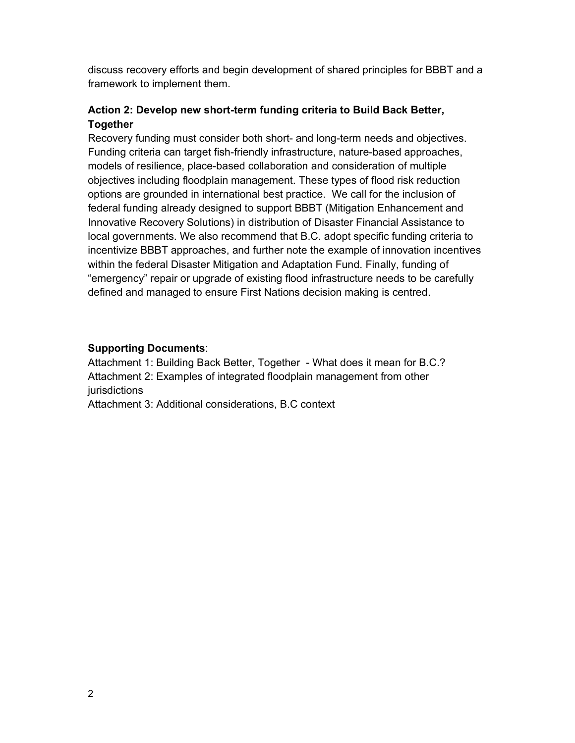discuss recovery efforts and begin development of shared principles for BBBT and a framework to implement them.

## Action 2: Develop new short-term funding criteria to Build Back Better, Together

Recovery funding must consider both short- and long-term needs and objectives. Funding criteria can target fish-friendly infrastructure, nature-based approaches, models of resilience, place-based collaboration and consideration of multiple objectives including floodplain management. These types of flood risk reduction options are grounded in international best practice. We call for the inclusion of federal funding already designed to support BBBT (Mitigation Enhancement and Innovative Recovery Solutions) in distribution of Disaster Financial Assistance to local governments. We also recommend that B.C. adopt specific funding criteria to incentivize BBBT approaches, and further note the example of innovation incentives within the federal Disaster Mitigation and Adaptation Fund. Finally, funding of "emergency" repair or upgrade of existing flood infrastructure needs to be carefully defined and managed to ensure First Nations decision making is centred.

## Supporting Documents:

Attachment 1: Building Back Better, Together - What does it mean for B.C.? Attachment 2: Examples of integrated floodplain management from other jurisdictions

Attachment 3: Additional considerations, B.C context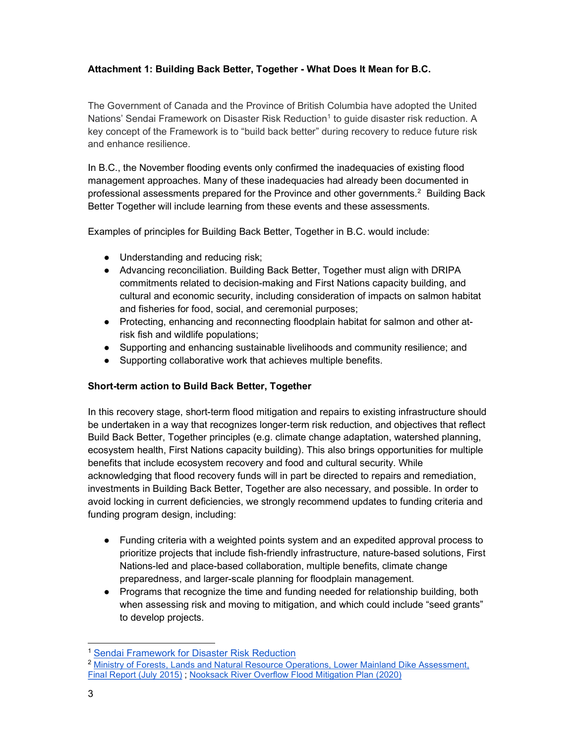## Attachment 1: Building Back Better, Together - What Does It Mean for B.C.

The Government of Canada and the Province of British Columbia have adopted the United Nations' Sendai Framework on Disaster Risk Reduction<sup>1</sup> to guide disaster risk reduction. A key concept of the Framework is to "build back better" during recovery to reduce future risk and enhance resilience.

In B.C., the November flooding events only confirmed the inadequacies of existing flood management approaches. Many of these inadequacies had already been documented in professional assessments prepared for the Province and other governments. $2$  Building Back Better Together will include learning from these events and these assessments.

Examples of principles for Building Back Better, Together in B.C. would include:

- Understanding and reducing risk;
- Advancing reconciliation. Building Back Better, Together must align with DRIPA commitments related to decision-making and First Nations capacity building, and cultural and economic security, including consideration of impacts on salmon habitat and fisheries for food, social, and ceremonial purposes;
- Protecting, enhancing and reconnecting floodplain habitat for salmon and other atrisk fish and wildlife populations;
- Supporting and enhancing sustainable livelihoods and community resilience; and
- Supporting collaborative work that achieves multiple benefits.

### Short-term action to Build Back Better, Together

In this recovery stage, short-term flood mitigation and repairs to existing infrastructure should be undertaken in a way that recognizes longer-term risk reduction, and objectives that reflect Build Back Better, Together principles (e.g. climate change adaptation, watershed planning, ecosystem health, First Nations capacity building). This also brings opportunities for multiple benefits that include ecosystem recovery and food and cultural security. While acknowledging that flood recovery funds will in part be directed to repairs and remediation, investments in Building Back Better, Together are also necessary, and possible. In order to avoid locking in current deficiencies, we strongly recommend updates to funding criteria and funding program design, including:

- Funding criteria with a weighted points system and an expedited approval process to prioritize projects that include fish-friendly infrastructure, nature-based solutions, First Nations-led and place-based collaboration, multiple benefits, climate change preparedness, and larger-scale planning for floodplain management.
- Programs that recognize the time and funding needed for relationship building, both when assessing risk and moving to mitigation, and which could include "seed grants" to develop projects.

<sup>&</sup>lt;sup>1</sup> Sendai Framework for Disaster Risk Reduction

<sup>2</sup> Ministry of Forests, Lands and Natural Resource Operations, Lower Mainland Dike Assessment, Final Report (July 2015) ; Nooksack River Overflow Flood Mitigation Plan (2020)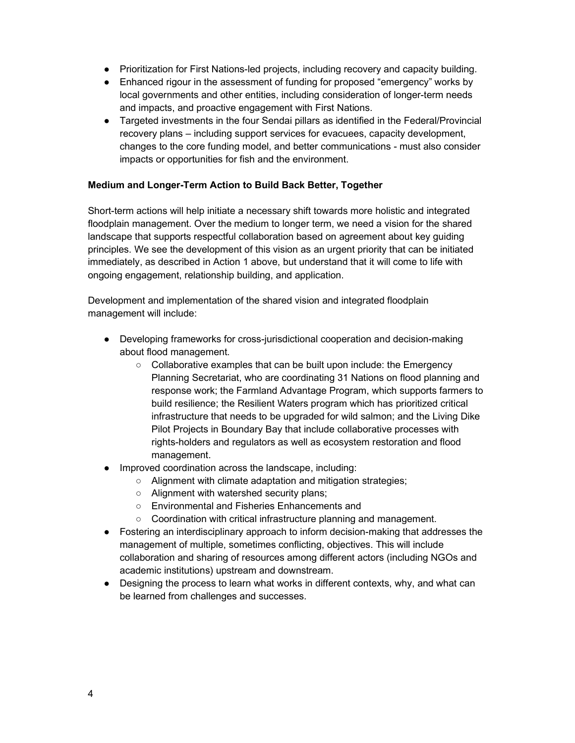- Prioritization for First Nations-led projects, including recovery and capacity building.
- Enhanced rigour in the assessment of funding for proposed "emergency" works by local governments and other entities, including consideration of longer-term needs and impacts, and proactive engagement with First Nations.
- Targeted investments in the four Sendai pillars as identified in the Federal/Provincial recovery plans – including support services for evacuees, capacity development, changes to the core funding model, and better communications - must also consider impacts or opportunities for fish and the environment.

#### Medium and Longer-Term Action to Build Back Better, Together

Short-term actions will help initiate a necessary shift towards more holistic and integrated floodplain management. Over the medium to longer term, we need a vision for the shared landscape that supports respectful collaboration based on agreement about key guiding principles. We see the development of this vision as an urgent priority that can be initiated immediately, as described in Action 1 above, but understand that it will come to life with ongoing engagement, relationship building, and application.

Development and implementation of the shared vision and integrated floodplain management will include:

- Developing frameworks for cross-jurisdictional cooperation and decision-making about flood management.
	- $\circ$  Collaborative examples that can be built upon include: the Emergency Planning Secretariat, who are coordinating 31 Nations on flood planning and response work; the Farmland Advantage Program, which supports farmers to build resilience; the Resilient Waters program which has prioritized critical infrastructure that needs to be upgraded for wild salmon; and the Living Dike Pilot Projects in Boundary Bay that include collaborative processes with rights-holders and regulators as well as ecosystem restoration and flood management.
- Improved coordination across the landscape, including:
	- Alignment with climate adaptation and mitigation strategies;
	- Alignment with watershed security plans;
	- Environmental and Fisheries Enhancements and
	- Coordination with critical infrastructure planning and management.
- Fostering an interdisciplinary approach to inform decision-making that addresses the management of multiple, sometimes conflicting, objectives. This will include collaboration and sharing of resources among different actors (including NGOs and academic institutions) upstream and downstream.
- Designing the process to learn what works in different contexts, why, and what can be learned from challenges and successes.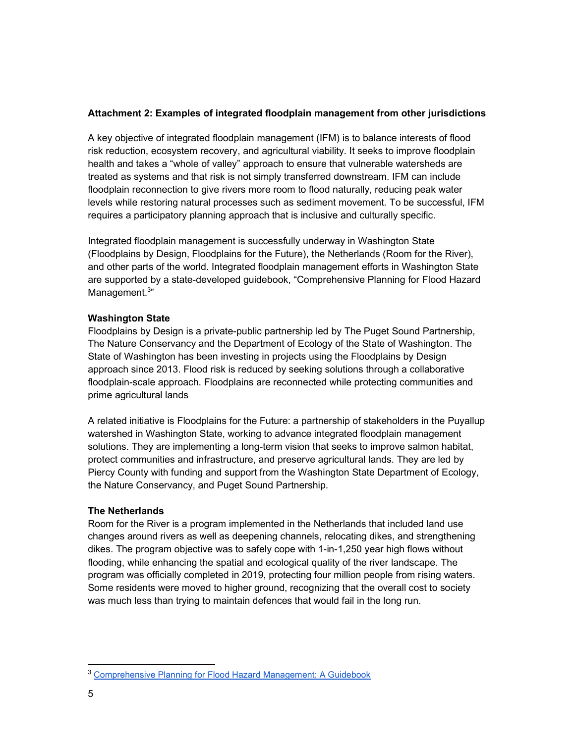### Attachment 2: Examples of integrated floodplain management from other jurisdictions

A key objective of integrated floodplain management (IFM) is to balance interests of flood risk reduction, ecosystem recovery, and agricultural viability. It seeks to improve floodplain health and takes a "whole of valley" approach to ensure that vulnerable watersheds are treated as systems and that risk is not simply transferred downstream. IFM can include floodplain reconnection to give rivers more room to flood naturally, reducing peak water levels while restoring natural processes such as sediment movement. To be successful, IFM requires a participatory planning approach that is inclusive and culturally specific.

Integrated floodplain management is successfully underway in Washington State (Floodplains by Design, Floodplains for the Future), the Netherlands (Room for the River), and other parts of the world. Integrated floodplain management efforts in Washington State are supported by a state-developed guidebook, "Comprehensive Planning for Flood Hazard Management.<sup>3</sup>"

### Washington State

Floodplains by Design is a private-public partnership led by The Puget Sound Partnership, The Nature Conservancy and the Department of Ecology of the State of Washington. The State of Washington has been investing in projects using the Floodplains by Design approach since 2013. Flood risk is reduced by seeking solutions through a collaborative floodplain-scale approach. Floodplains are reconnected while protecting communities and prime agricultural lands

A related initiative is Floodplains for the Future: a partnership of stakeholders in the Puyallup watershed in Washington State, working to advance integrated floodplain management solutions. They are implementing a long-term vision that seeks to improve salmon habitat, protect communities and infrastructure, and preserve agricultural lands. They are led by Piercy County with funding and support from the Washington State Department of Ecology, the Nature Conservancy, and Puget Sound Partnership.

### The Netherlands

Room for the River is a program implemented in the Netherlands that included land use changes around rivers as well as deepening channels, relocating dikes, and strengthening dikes. The program objective was to safely cope with 1-in-1,250 year high flows without flooding, while enhancing the spatial and ecological quality of the river landscape. The program was officially completed in 2019, protecting four million people from rising waters. Some residents were moved to higher ground, recognizing that the overall cost to society was much less than trying to maintain defences that would fail in the long run.

<sup>3</sup> Comprehensive Planning for Flood Hazard Management: A Guidebook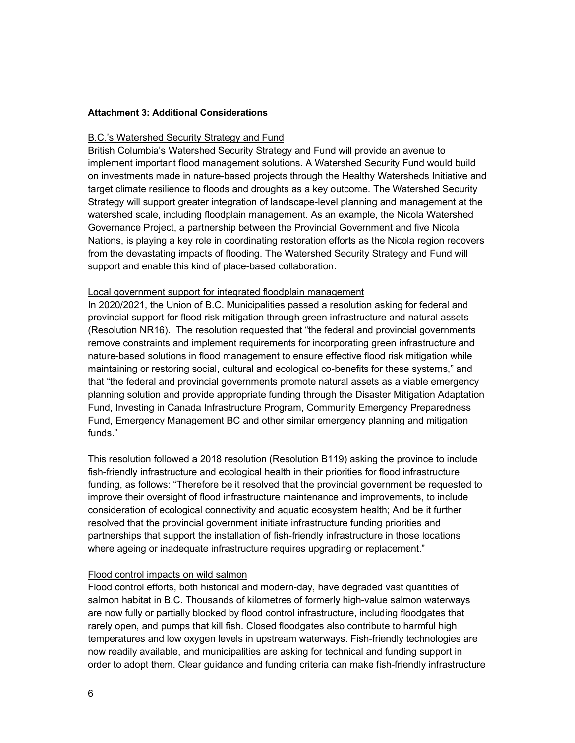#### Attachment 3: Additional Considerations

#### B.C.'s Watershed Security Strategy and Fund

British Columbia's Watershed Security Strategy and Fund will provide an avenue to implement important flood management solutions. A Watershed Security Fund would build on investments made in nature-based projects through the Healthy Watersheds Initiative and target climate resilience to floods and droughts as a key outcome. The Watershed Security Strategy will support greater integration of landscape-level planning and management at the watershed scale, including floodplain management. As an example, the Nicola Watershed Governance Project, a partnership between the Provincial Government and five Nicola Nations, is playing a key role in coordinating restoration efforts as the Nicola region recovers from the devastating impacts of flooding. The Watershed Security Strategy and Fund will support and enable this kind of place-based collaboration.

#### Local government support for integrated floodplain management

In 2020/2021, the Union of B.C. Municipalities passed a resolution asking for federal and provincial support for flood risk mitigation through green infrastructure and natural assets (Resolution NR16). The resolution requested that "the federal and provincial governments remove constraints and implement requirements for incorporating green infrastructure and nature-based solutions in flood management to ensure effective flood risk mitigation while maintaining or restoring social, cultural and ecological co-benefits for these systems," and that "the federal and provincial governments promote natural assets as a viable emergency planning solution and provide appropriate funding through the Disaster Mitigation Adaptation Fund, Investing in Canada Infrastructure Program, Community Emergency Preparedness Fund, Emergency Management BC and other similar emergency planning and mitigation funds."

This resolution followed a 2018 resolution (Resolution B119) asking the province to include fish-friendly infrastructure and ecological health in their priorities for flood infrastructure funding, as follows: "Therefore be it resolved that the provincial government be requested to improve their oversight of flood infrastructure maintenance and improvements, to include consideration of ecological connectivity and aquatic ecosystem health; And be it further resolved that the provincial government initiate infrastructure funding priorities and partnerships that support the installation of fish-friendly infrastructure in those locations where ageing or inadequate infrastructure requires upgrading or replacement."

#### Flood control impacts on wild salmon

Flood control efforts, both historical and modern-day, have degraded vast quantities of salmon habitat in B.C. Thousands of kilometres of formerly high-value salmon waterways are now fully or partially blocked by flood control infrastructure, including floodgates that rarely open, and pumps that kill fish. Closed floodgates also contribute to harmful high temperatures and low oxygen levels in upstream waterways. Fish-friendly technologies are now readily available, and municipalities are asking for technical and funding support in order to adopt them. Clear guidance and funding criteria can make fish-friendly infrastructure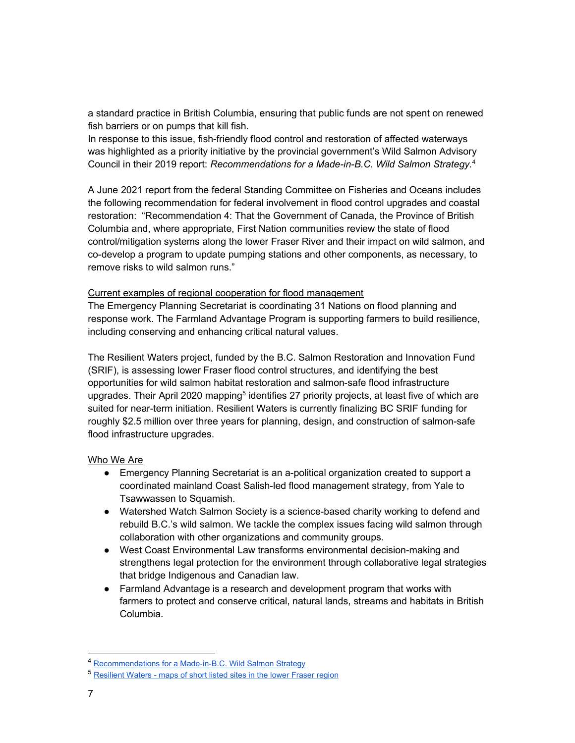a standard practice in British Columbia, ensuring that public funds are not spent on renewed fish barriers or on pumps that kill fish.

In response to this issue, fish-friendly flood control and restoration of affected waterways was highlighted as a priority initiative by the provincial government's Wild Salmon Advisory Council in their 2019 report: Recommendations for a Made-in-B.C. Wild Salmon Strategy.<sup>4</sup>

A June 2021 report from the federal Standing Committee on Fisheries and Oceans includes the following recommendation for federal involvement in flood control upgrades and coastal restoration: "Recommendation 4: That the Government of Canada, the Province of British Columbia and, where appropriate, First Nation communities review the state of flood control/mitigation systems along the lower Fraser River and their impact on wild salmon, and co-develop a program to update pumping stations and other components, as necessary, to remove risks to wild salmon runs."

#### Current examples of regional cooperation for flood management

The Emergency Planning Secretariat is coordinating 31 Nations on flood planning and response work. The Farmland Advantage Program is supporting farmers to build resilience, including conserving and enhancing critical natural values.

The Resilient Waters project, funded by the B.C. Salmon Restoration and Innovation Fund (SRIF), is assessing lower Fraser flood control structures, and identifying the best opportunities for wild salmon habitat restoration and salmon-safe flood infrastructure upgrades. Their April 2020 mapping<sup>5</sup> identifies 27 priority projects, at least five of which are suited for near-term initiation. Resilient Waters is currently finalizing BC SRIF funding for roughly \$2.5 million over three years for planning, design, and construction of salmon-safe flood infrastructure upgrades.

#### Who We Are

- Emergency Planning Secretariat is an a-political organization created to support a coordinated mainland Coast Salish-led flood management strategy, from Yale to Tsawwassen to Squamish.
- Watershed Watch Salmon Society is a science-based charity working to defend and rebuild B.C.'s wild salmon. We tackle the complex issues facing wild salmon through collaboration with other organizations and community groups.
- West Coast Environmental Law transforms environmental decision-making and strengthens legal protection for the environment through collaborative legal strategies that bridge Indigenous and Canadian law.
- Farmland Advantage is a research and development program that works with farmers to protect and conserve critical, natural lands, streams and habitats in British Columbia.

<sup>&</sup>lt;sup>4</sup> Recommendations for a Made-in-B.C. Wild Salmon Strategy

<sup>5</sup> Resilient Waters - maps of short listed sites in the lower Fraser region